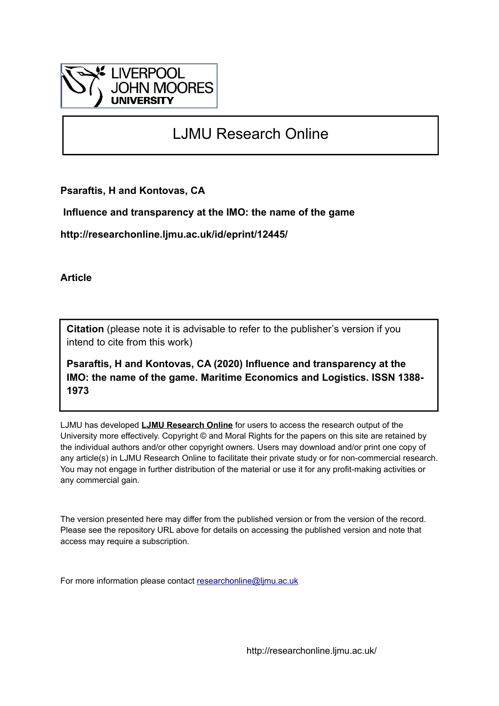

# LJMU Research Online

**Psaraftis, H and Kontovas, CA**

 **Influence and transparency at the IMO: the name of the game**

**http://researchonline.ljmu.ac.uk/id/eprint/12445/**

**Article**

**Citation** (please note it is advisable to refer to the publisher's version if you intend to cite from this work)

**Psaraftis, H and Kontovas, CA (2020) Influence and transparency at the IMO: the name of the game. Maritime Economics and Logistics. ISSN 1388- 1973** 

LJMU has developed **[LJMU Research Online](http://researchonline.ljmu.ac.uk/)** for users to access the research output of the University more effectively. Copyright © and Moral Rights for the papers on this site are retained by the individual authors and/or other copyright owners. Users may download and/or print one copy of any article(s) in LJMU Research Online to facilitate their private study or for non-commercial research. You may not engage in further distribution of the material or use it for any profit-making activities or any commercial gain.

The version presented here may differ from the published version or from the version of the record. Please see the repository URL above for details on accessing the published version and note that access may require a subscription.

For more information please contact [researchonline@ljmu.ac.uk](mailto:researchonline@ljmu.ac.uk)

http://researchonline.ljmu.ac.uk/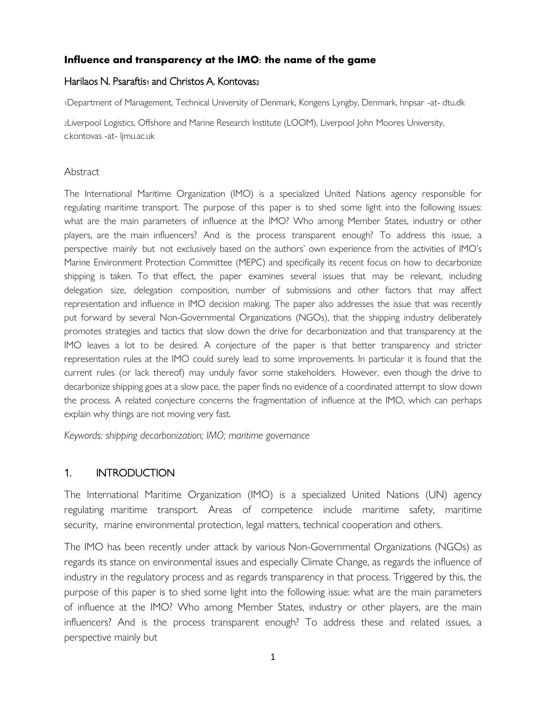# **Influence and transparency at th[e IMO: the name of the game](https://doi.org/10.1057/s41278-020-00149-4)**

## Harilaos N. Psaraftis<sub>1</sub> and Christos A. Kontovas<sub>2</sub>

<sup>1</sup>Department of Management, Technical University of Denmark, Kongens Lyngby, Denmark, hnpsar -at- dtu.dk

<sup>2</sup>Liverpool Logistics, Offshore and Marine Research Institute (LOOM), Liverpool John Moores University, c.kontovas -at- ljmu.ac.uk

#### **Abstract**

The International Maritime Organization (IMO) is a specialized United Nations agency responsible for regulating maritime transport. The purpose of this paper is to shed some light into the following issues: what are the main parameters of influence at the IMO? Who among Member States, industry or other players, are the main influencers? And is the process transparent enough? To address this issue, a perspective mainly but not exclusively based on the authors' own experience from the activities of IMO's Marine Environment Protection Committee (MEPC) and specifically its recent focus on how to decarbonize shipping is taken. To that effect, the paper examines several issues that may be relevant, including delegation size, delegation composition, number of submissions and other factors that may affect representation and influence in IMO decision making. The paper also addresses the issue that was recently put forward by several Non-Governmental Organizations (NGOs), that the shipping industry deliberately promotes strategies and tactics that slow down the drive for decarbonization and that transparency at the IMO leaves a lot to be desired. A conjecture of the paper is that better transparency and stricter representation rules at the IMO could surely lead to some improvements. In particular it is found that the current rules (or lack thereof) may unduly favor some stakeholders. However, even though the drive to decarbonize shipping goes at a slow pace, the paper finds no evidence of a coordinated attempt to slow down the process. A related conjecture concerns the fragmentation of influence at the IMO, which can perhaps explain why things are not moving very fast.

*Keywords: shipping decarbonization; IMO; maritime governance* 

## 1. INTRODUCTION

The International Maritime Organization (IMO) is a specialized United Nations (UN) agency regulating maritime transport. Areas of competence include maritime safety, maritime security, marine environmental protection, legal matters, technical cooperation and others.

The IMO has been recently under attack by various Non-Governmental Organizations (NGOs) as regards its stance on environmental issues and especially Climate Change, as regards the influence of industry in the regulatory process and as regards transparency in that process. Triggered by this, the purpose of this paper is to shed some light into the following issue: what are the main parameters of influence at the IMO? Who among Member States, industry or other players, are the main influencers? And is the process transparent enough? To address these and related issues, a perspective mainly but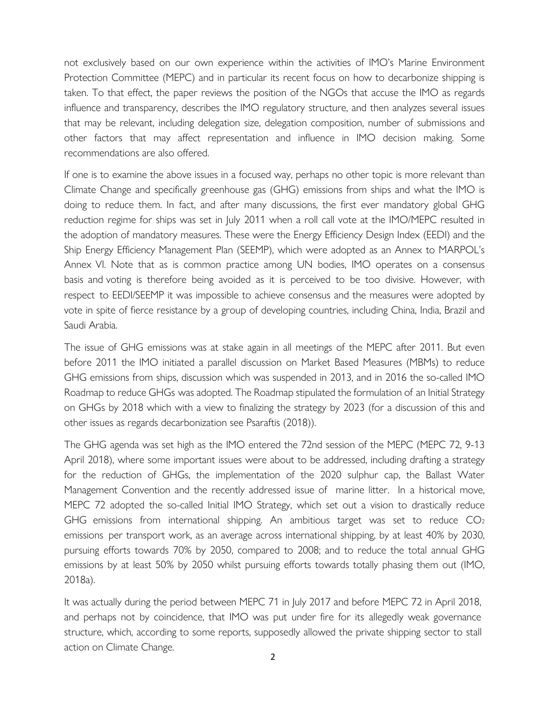not exclusively based on our own ex[perience within the activities of IMO's Mar](https://doi.org/10.1057/s41278-020-00149-4)ine Environment Protection Committee (MEPC) and in particular its recent focus on how to decarbonize shipping is taken. To that effect, the paper reviews the position of the NGOs that accuse the IMO as regards influence and transparency, describes the IMO regulatory structure, and then analyzes several issues that may be relevant, including delegation size, delegation composition, number of submissions and other factors that may affect representation and influence in IMO decision making. Some recommendations are also offered.

If one is to examine the above issues in a focused way, perhaps no other topic is more relevant than Climate Change and specifically greenhouse gas (GHG) emissions from ships and what the IMO is doing to reduce them. In fact, and after many discussions, the first ever mandatory global GHG reduction regime for ships was set in July 2011 when a roll call vote at the IMO/MEPC resulted in the adoption of mandatory measures. These were the Energy Efficiency Design Index (EEDI) and the Ship Energy Efficiency Management Plan (SEEMP), which were adopted as an Annex to MARPOL's Annex VI. Note that as is common practice among UN bodies, IMO operates on a consensus basis and voting is therefore being avoided as it is perceived to be too divisive. However, with respect to EEDI/SEEMP it was impossible to achieve consensus and the measures were adopted by vote in spite of fierce resistance by a group of developing countries, including China, India, Brazil and Saudi Arabia.

The issue of GHG emissions was at stake again in all meetings of the MEPC after 2011. But even before 2011 the IMO initiated a parallel discussion on Market Based Measures (MBMs) to reduce GHG emissions from ships, discussion which was suspended in 2013, and in 2016 the so-called IMO Roadmap to reduce GHGs was adopted. The Roadmap stipulated the formulation of an Initial Strategy on GHGs by 2018 which with a view to finalizing the strategy by 2023 (for a discussion of this and other issues as regards decarbonization see Psaraftis (2018)).

The GHG agenda was set high as the IMO entered the 72nd session of the MEPC (MEPC 72, 9-13 April 2018), where some important issues were about to be addressed, including drafting a strategy for the reduction of GHGs, the implementation of the 2020 sulphur cap, the Ballast Water Management Convention and the recently addressed issue of marine litter. In a historical move, MEPC 72 adopted the so-called Initial IMO Strategy, which set out a vision to drastically reduce GHG emissions from international shipping. An ambitious target was set to reduce  $CO<sub>2</sub>$ emissions per transport work, as an average across international shipping, by at least 40% by 2030, pursuing efforts towards 70% by 2050, compared to 2008; and to reduce the total annual GHG emissions by at least 50% by 2050 whilst pursuing efforts towards totally phasing them out (IMO, 2018a).

It was actually during the period between MEPC 71 in July 2017 and before MEPC 72 in April 2018, and perhaps not by coincidence, that IMO was put under fire for its allegedly weak governance structure, which, according to some reports, supposedly allowed the private shipping sector to stall action on Climate Change.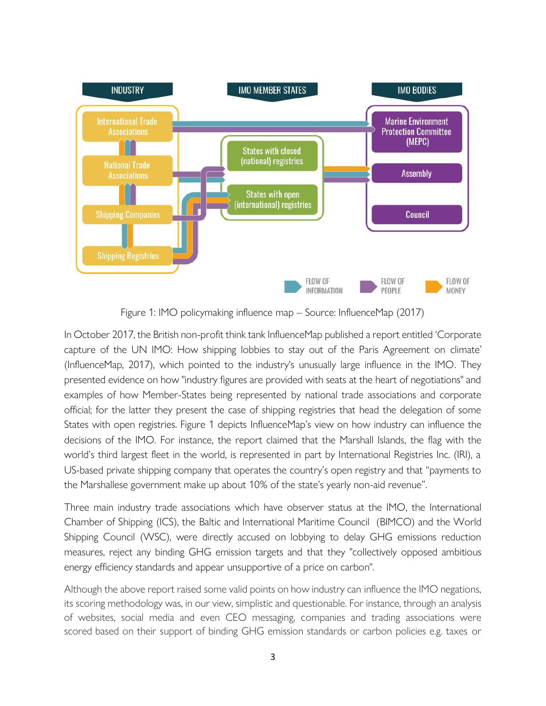

Figure 1: IMO policymaking influence map – Source: InfluenceMap (2017)

In October 2017, the British non-profit think tank InfluenceMap published a report entitled 'Corporate capture of the UN IMO: How shipping lobbies to stay out of the Paris Agreement on climate' (InfluenceMap, 2017), which pointed to the industry's unusually large influence in the IMO. They presented evidence on how "industry figures are provided with seats at the heart of negotiations" and examples of how Member-States being represented by national trade associations and corporate official; for the latter they present the case of shipping registries that head the delegation of some States with open registries. Figure 1 depicts InfluenceMap's view on how industry can influence the decisions of the IMO. For instance, the report claimed that the Marshall Islands, the flag with the world's third largest fleet in the world, is represented in part by International Registries Inc. (IRI), a US-based private shipping company that operates the country's open registry and that "payments to the Marshallese government make up about 10% of the state's yearly non-aid revenue".

Three main industry trade associations which have observer status at the IMO, the International Chamber of Shipping (ICS), the Baltic and International Maritime Council (BIMCO) and the World Shipping Council (WSC), were directly accused on lobbying to delay GHG emissions reduction measures, reject any binding GHG emission targets and that they "collectively opposed ambitious energy efficiency standards and appear unsupportive of a price on carbon".

Although the above report raised some valid points on how industry can influence the IMO negations, its scoring methodology was, in our view, simplistic and questionable. For instance, through an analysis of websites, social media and even CEO messaging, companies and trading associations were scored based on their support of binding GHG emission standards or carbon policies e.g. taxes or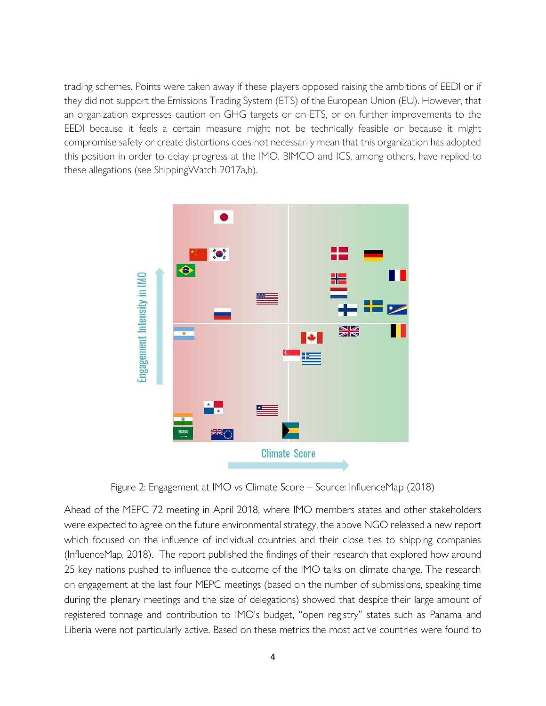trading schemes. Points were taken away if these players opposed raising the ambitions of EEDI or if they did not support the Emissions Trading System (ETS) of the European Union (EU). However, that an organization expresses caution on GHG targets or on ETS, or on further improvements to the EEDI because it feels a certain measure might not be technically feasible or because it might compromise safety or create distortions does not necessarily mean that this organization has adopted this position in order to delay progress at the IMO. BIMCO and ICS, among others, have replied to these allegations (see ShippingWatch 2017a,b).



Figure 2: Engagement at IMO vs Climate Score – Source: InfluenceMap (2018)

Ahead of the MEPC 72 meeting in April 2018, where IMO members states and other stakeholders were expected to agree on the future environmental strategy, the above NGO released a new report which focused on the influence of individual countries and their close ties to shipping companies (InfluenceMap, 2018). The report published the findings of their research that explored how around 25 key nations pushed to influence the outcome of the IMO talks on climate change. The research on engagement at the last four MEPC meetings (based on the number of submissions, speaking time during the plenary meetings and the size of delegations) showed that despite their large amount of registered tonnage and contribution to IMO's budget, "open registry" states such as Panama and Liberia were not particularly active. Based on these metrics the most active countries were found to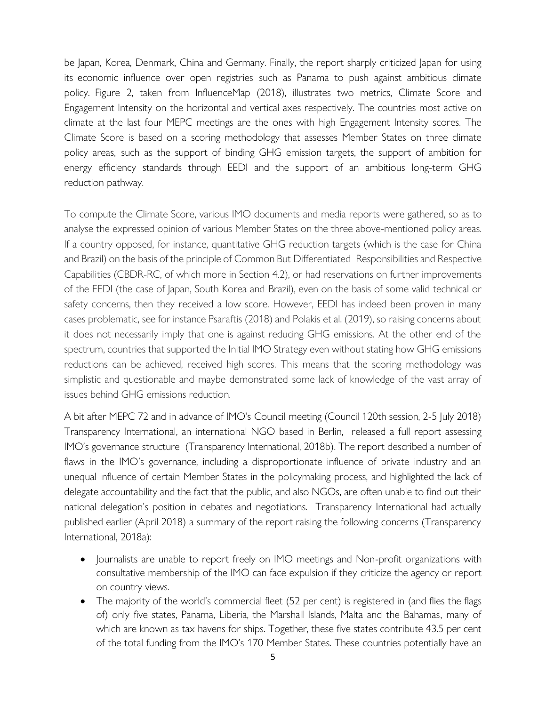be Japan, Korea, Denmark, China and [Germany. Finally, the report sharply criticized](https://doi.org/10.1057/s41278-020-00149-4) Japan for using its economic influence over open registries such as Panama to push against ambitious climate policy. Figure 2, taken from InfluenceMap (2018), illustrates two metrics, Climate Score and Engagement Intensity on the horizontal and vertical axes respectively. The countries most active on climate at the last four MEPC meetings are the ones with high Engagement Intensity scores. The Climate Score is based on a scoring methodology that assesses Member States on three climate policy areas, such as the support of binding GHG emission targets, the support of ambition for energy efficiency standards through EEDI and the support of an ambitious long-term GHG reduction pathway.

To compute the Climate Score, various IMO documents and media reports were gathered, so as to analyse the expressed opinion of various Member States on the three above-mentioned policy areas. If a country opposed, for instance, quantitative GHG reduction targets (which is the case for China and Brazil) on the basis of the principle of Common But Differentiated Responsibilities and Respective Capabilities (CBDR-RC, of which more in Section 4.2), or had reservations on further improvements of the EEDI (the case of Japan, South Korea and Brazil), even on the basis of some valid technical or safety concerns, then they received a low score. However, EEDI has indeed been proven in many cases problematic, see for instance Psaraftis (2018) and Polakis et al. (2019), so raising concerns about it does not necessarily imply that one is against reducing GHG emissions. At the other end of the spectrum, countries that supported the Initial IMO Strategy even without stating how GHG emissions reductions can be achieved, received high scores. This means that the scoring methodology was simplistic and questionable and maybe demonstrated some lack of knowledge of the vast array of issues behind GHG emissions reduction.

A bit after MEPC 72 and in advance of IMO's Council meeting (Council 120th session, 2-5 July 2018) Transparency International, an international NGO based in Berlin, released a full report assessing IMO's governance structure (Transparency International, 2018b). The report described a number of flaws in the IMO's governance, including a disproportionate influence of private industry and an unequal influence of certain Member States in the policymaking process, and highlighted the lack of delegate accountability and the fact that the public, and also NGOs, are often unable to find out their national delegation's position in debates and negotiations. Transparency International had actually published earlier (April 2018) a summary of the report raising the following concerns (Transparency International, 2018a):

- Journalists are unable to report freely on IMO meetings and Non-profit organizations with consultative membership of the IMO can face expulsion if they criticize the agency or report on country views.
- The majority of the world's commercial fleet (52 per cent) is registered in (and flies the flags of) only five states, Panama, Liberia, the Marshall Islands, Malta and the Bahamas, many of which are known as tax havens for ships. Together, these five states contribute 43.5 per cent of the total funding from the IMO's 170 Member States. These countries potentially have an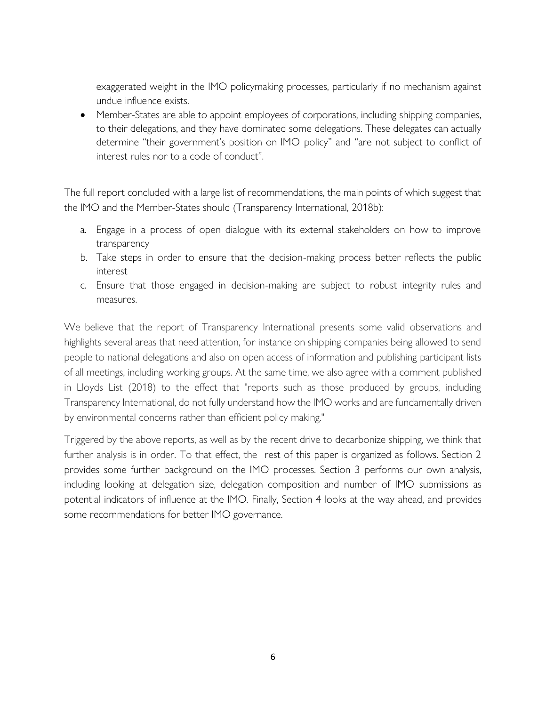exaggerated weight in the IMO policymaking processes, particularly if no mechanism against undue influence exists.

• Member-States are able to appoint employees of corporations, including shipping companies, to their delegations, and they have dominated some delegations. These delegates can actually determine "their government's position on IMO policy" and "are not subject to conflict of interest rules nor to a code of conduct".

The full report concluded with a large list of recommendations, the main points of which suggest that the IMO and the Member-States should (Transparency International, 2018b):

- a. Engage in a process of open dialogue with its external stakeholders on how to improve transparency
- b. Take steps in order to ensure that the decision-making process better reflects the public interest
- c. Ensure that those engaged in decision-making are subject to robust integrity rules and measures.

We believe that the report of Transparency International presents some valid observations and highlights several areas that need attention, for instance on shipping companies being allowed to send people to national delegations and also on open access of information and publishing participant lists of all meetings, including working groups. At the same time, we also agree with a comment published in Lloyds List (2018) to the effect that "reports such as those produced by groups, including Transparency International, do not fully understand how the IMO works and are fundamentally driven by environmental concerns rather than efficient policy making."

Triggered by the above reports, as well as by the recent drive to decarbonize shipping, we think that further analysis is in order. To that effect, the rest of this paper is organized as follows. Section 2 provides some further background on the IMO processes. Section 3 performs our own analysis, including looking at delegation size, delegation composition and number of IMO submissions as potential indicators of influence at the IMO. Finally, Section 4 looks at the way ahead, and provides some recommendations for better IMO governance.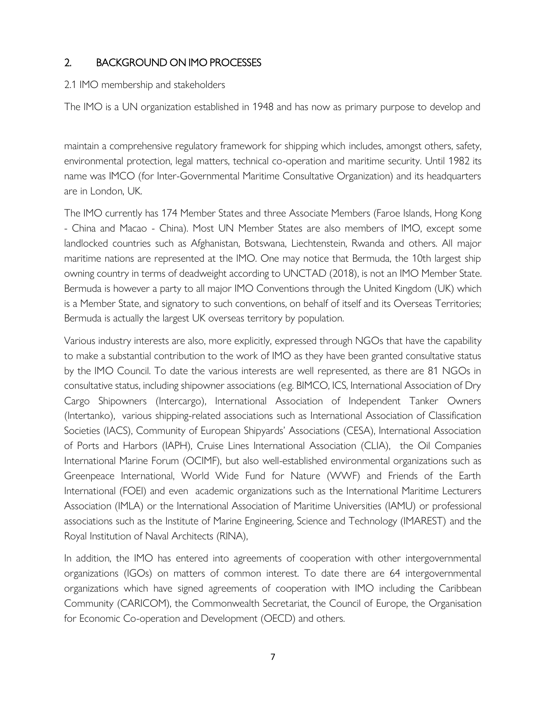# 2. BACKGROUND ON IMO PR[OCESSES](https://doi.org/10.1057/s41278-020-00149-4)

2.1 IMO membership and stakeholders

The IMO is a UN organization established in 1948 and has now as primary purpose to develop and

maintain a comprehensive regulatory framework for shipping which includes, amongst others, safety, environmental protection, legal matters, technical co-operation and maritime security. Until 1982 its name was IMCO (for Inter-Governmental Maritime Consultative Organization) and its headquarters are in London, UK.

The IMO currently has 174 Member States and three Associate Members (Faroe Islands, Hong Kong - China and Macao - China). Most UN Member States are also members of IMO, except some landlocked countries such as Afghanistan, Botswana, Liechtenstein, Rwanda and others. All major maritime nations are represented at the IMO. One may notice that Bermuda, the 10th largest ship owning country in terms of deadweight according to UNCTAD (2018), is not an IMO Member State. Bermuda is however a party to all major IMO Conventions through the United Kingdom (UK) which is a Member State, and signatory to such conventions, on behalf of itself and its Overseas Territories; Bermuda is actually the largest UK overseas territory by population.

Various industry interests are also, more explicitly, expressed through NGOs that have the capability to make a substantial contribution to the work of IMO as they have been granted consultative status by the IMO Council. To date the various interests are well represented, as there are 81 NGOs in consultative status, including shipowner associations (e.g. BIMCO, ICS, International Association of Dry Cargo Shipowners (Intercargo), International Association of Independent Tanker Owners (Intertanko), various shipping-related associations such as International Association of Classification Societies (IACS), Community of European Shipyards' Associations (CESA), International Association of Ports and Harbors (IAPH), Cruise Lines International Association (CLIA), the Oil Companies International Marine Forum (OCIMF), but also well-established environmental organizations such as Greenpeace International, World Wide Fund for Nature (WWF) and Friends of the Earth International (FOEI) and even academic organizations such as the International Maritime Lecturers Association (IMLA) or the International Association of Maritime Universities (IAMU) or professional associations such as the Institute of Marine Engineering, Science and Technology (IMAREST) and the Royal Institution of Naval Architects (RINA),

In addition, the IMO has entered into agreements of cooperation with other intergovernmental organizations (IGOs) on matters of common interest. To date there are 64 intergovernmental organizations which have signed agreements of cooperation with IMO including the Caribbean Community (CARICOM), the Commonwealth Secretariat, the Council of Europe, the Organisation for Economic Co-operation and Development (OECD) and others.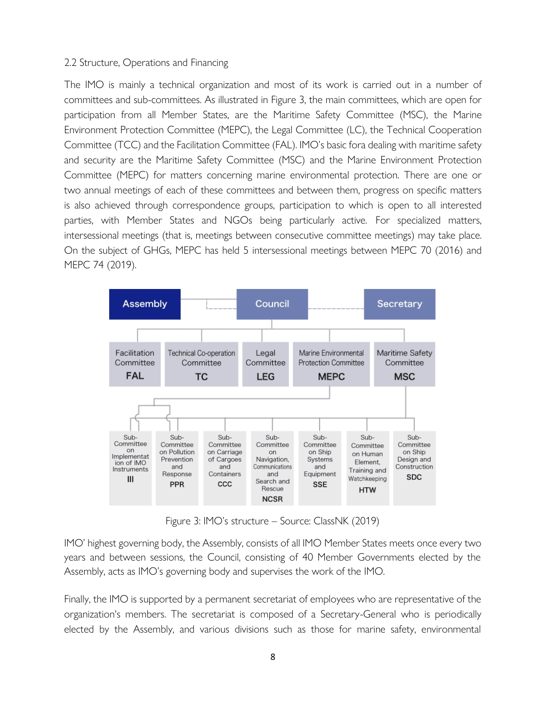#### 2.2 Structure, Operations and Financing

The IMO is mainly a technical organization and most of its work is carried out in a number of committees and sub-committees. As illustrated in Figure 3, the main committees, which are open for participation from all Member States, are the Maritime Safety Committee (MSC), the Marine Environment Protection Committee (MEPC), the Legal Committee (LC), the Technical Cooperation Committee (TCC) and the Facilitation Committee (FAL). IMO's basic fora dealing with maritime safety and security are the Maritime Safety Committee (MSC) and the Marine Environment Protection Committee (MEPC) for matters concerning marine environmental protection. There are one or two annual meetings of each of these committees and between them, progress on specific matters is also achieved through correspondence groups, participation to which is open to all interested parties, with Member States and NGOs being particularly active. For specialized matters, intersessional meetings (that is, meetings between consecutive committee meetings) may take place. On the subject of GHGs, MEPC has held 5 intersessional meetings between MEPC 70 (2016) and MEPC 74 (2019).



Figure 3: IMO's structure – Source: ClassNK (2019)

IMO' highest governing body, the Assembly, consists of all IMO Member States meets once every two years and between sessions, the Council, consisting of 40 Member Governments elected by the Assembly, acts as IMO's governing body and supervises the work of the IMO.

Finally, the IMO is supported by a permanent secretariat of employees who are representative of the organization's members. The secretariat is composed of a Secretary-General who is periodically elected by the Assembly, and various divisions such as those for marine safety, environmental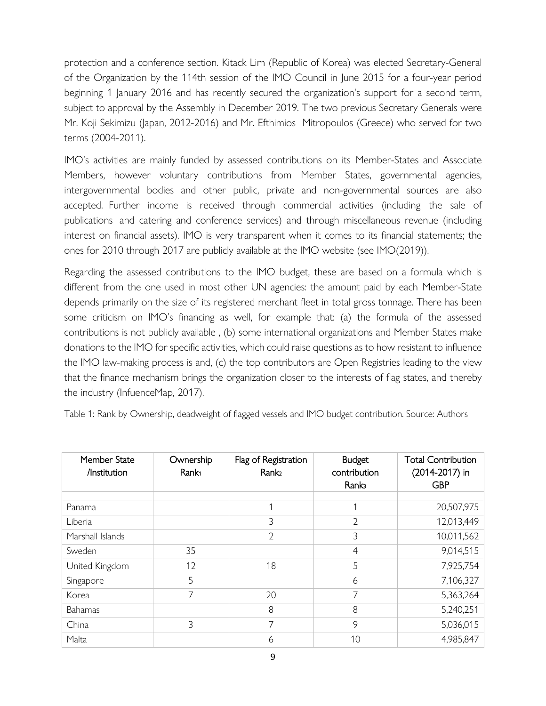protection and a conference section. K[itack Lim \(Republic of Korea\) was elected Se](https://doi.org/10.1057/s41278-020-00149-4)cretary-General of the Organization by the 114th session of the IMO Council in June 2015 for a four-year period beginning 1 January 2016 and has recently secured the organization's support for a second term, subject to approval by the Assembly in December 2019. The two previous Secretary Generals were Mr. Koji Sekimizu (Japan, 2012-2016) and Mr. Efthimios Mitropoulos (Greece) who served for two terms (2004-2011).

IMO's activities are mainly funded by assessed contributions on its Member-States and Associate Members, however voluntary contributions from Member States, governmental agencies, intergovernmental bodies and other public, private and non-governmental sources are also accepted. Further income is received through commercial activities (including the sale of publications and catering and conference services) and through miscellaneous revenue (including interest on financial assets). IMO is very transparent when it comes to its financial statements; the ones for 2010 through 2017 are publicly available at the IMO website (see IMO(2019)).

Regarding the assessed contributions to the IMO budget, these are based on a formula which is different from the one used in most other UN agencies: the amount paid by each Member-State depends primarily on the size of its registered merchant fleet in total gross tonnage. There has been some criticism on IMO's financing as well, for example that: (a) the formula of the assessed contributions is not publicly available , (b) some international organizations and Member States make donations to the IMO for specific activities, which could raise questions as to how resistant to influence the IMO law-making process is and, (c) the top contributors are Open Registries leading to the view that the finance mechanism brings the organization closer to the interests of flag states, and thereby the industry (InfuenceMap, 2017).

Table 1: Rank by Ownership, deadweight of flagged vessels and IMO budget contribution. Source: Authors

| Member State<br>/Institution | Ownership<br>Rank <sub>1</sub> | Flag of Registration<br>Rank <sub>2</sub> | <b>Budget</b><br>contribution<br><b>Ranks</b> | <b>Total Contribution</b><br>(2014-2017) in<br><b>GBP</b> |
|------------------------------|--------------------------------|-------------------------------------------|-----------------------------------------------|-----------------------------------------------------------|
|                              |                                |                                           | 1                                             | 20,507,975                                                |
| Panama                       |                                |                                           |                                               |                                                           |
| Liberia                      |                                | 3                                         | $\overline{2}$                                | 12,013,449                                                |
| Marshall Islands             |                                | $\overline{2}$                            | 3                                             | 10,011,562                                                |
| Sweden                       | 35                             |                                           | $\overline{4}$                                | 9,014,515                                                 |
| United Kingdom               | 12                             | 18                                        | 5                                             | 7,925,754                                                 |
| Singapore                    | 5                              |                                           | 6                                             | 7,106,327                                                 |
| Korea                        | 7                              | 20                                        | 7                                             | 5,363,264                                                 |
| Bahamas                      |                                | 8                                         | 8                                             | 5,240,251                                                 |
| China                        | 3                              | 7                                         | 9                                             | 5,036,015                                                 |
| Malta                        |                                | 6                                         | 10                                            | 4,985,847                                                 |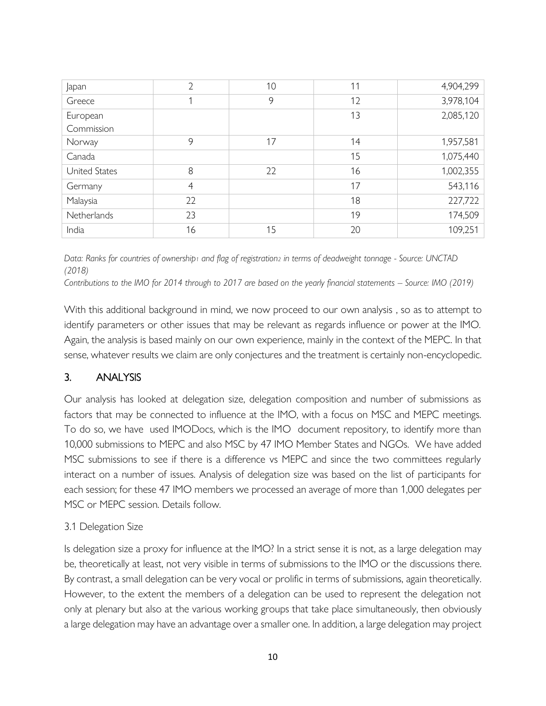| Japan         | $\overline{2}$ | 10 | 11 | 4,904,299 |
|---------------|----------------|----|----|-----------|
| Greece        |                | 9  | 12 | 3,978,104 |
| European      |                |    | 13 | 2,085,120 |
| Commission    |                |    |    |           |
| Norway        | 9              | 17 | 14 | 1,957,581 |
| Canada        |                |    | 15 | 1,075,440 |
| United States | 8              | 22 | 16 | 1,002,355 |
| Germany       | $\overline{4}$ |    | 17 | 543,116   |
| Malaysia      | 22             |    | 18 | 227,722   |
| Netherlands   | 23             |    | 19 | 174,509   |
| India         | 16             | 15 | 20 | 109,251   |

*Data: Ranks for countries of ownership<sup>1</sup> and flag of registration<sup>2</sup> in terms of deadweight tonnage - Source: UNCTAD (2018)*

*Contributions to the IMO for 2014 through to 2017 are based on the yearly financial statements – Source: IMO (2019)*

With this additional background in mind, we now proceed to our own analysis , so as to attempt to identify parameters or other issues that may be relevant as regards influence or power at the IMO. Again, the analysis is based mainly on our own experience, mainly in the context of the MEPC. In that sense, whatever results we claim are only conjectures and the treatment is certainly non-encyclopedic.

# 3. ANALYSIS

Our analysis has looked at delegation size, delegation composition and number of submissions as factors that may be connected to influence at the IMO, with a focus on MSC and MEPC meetings. To do so, we have used IMODocs, which is the IMO document repository, to identify more than 10,000 submissions to MEPC and also MSC by 47 IMO Member States and NGOs. We have added MSC submissions to see if there is a difference vs MEPC and since the two committees regularly interact on a number of issues. Analysis of delegation size was based on the list of participants for each session; for these 47 IMO members we processed an average of more than 1,000 delegates per MSC or MEPC session. Details follow.

# 3.1 Delegation Size

Is delegation size a proxy for influence at the IMO? In a strict sense it is not, as a large delegation may be, theoretically at least, not very visible in terms of submissions to the IMO or the discussions there. By contrast, a small delegation can be very vocal or prolific in terms of submissions, again theoretically. However, to the extent the members of a delegation can be used to represent the delegation not only at plenary but also at the various working groups that take place simultaneously, then obviously a large delegation may have an advantage over a smaller one. In addition, a large delegation may project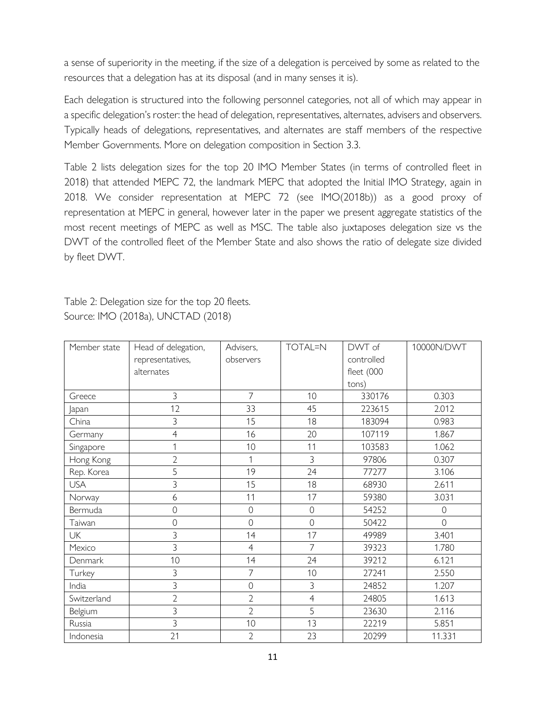a sense of superiority in the meeting, if [the size of a delegation is perceived by some a](https://doi.org/10.1057/s41278-020-00149-4)s related to the resources that a delegation has at its disposal (and in many senses it is).

Each delegation is structured into the following personnel categories, not all of which may appear in a specific delegation's roster: the head of delegation, representatives, alternates, advisers and observers. Typically heads of delegations, representatives, and alternates are staff members of the respective Member Governments. More on delegation composition in Section 3.3.

Table 2 lists delegation sizes for the top 20 IMO Member States (in terms of controlled fleet in 2018) that attended MEPC 72, the landmark MEPC that adopted the Initial IMO Strategy, again in 2018. We consider representation at MEPC 72 (see IMO(2018b)) as a good proxy of representation at MEPC in general, however later in the paper we present aggregate statistics of the most recent meetings of MEPC as well as MSC. The table also juxtaposes delegation size vs the DWT of the controlled fleet of the Member State and also shows the ratio of delegate size divided by fleet DWT.

Table 2: Delegation size for the top 20 fleets. Source: IMO (2018a), UNCTAD (2018)

| Member state | Head of delegation, | Advisers,      | <b>TOTAL=N</b> | DWT of     | 10000N/DWT     |
|--------------|---------------------|----------------|----------------|------------|----------------|
|              | representatives,    | observers      |                | controlled |                |
|              | alternates          |                |                | fleet (000 |                |
|              |                     |                |                | tons)      |                |
| Greece       | 3                   | $\overline{7}$ | 10             | 330176     | 0.303          |
| Japan        | 12                  | 33             | 45             | 223615     | 2.012          |
| China        | 3                   | 15             | 18             | 183094     | 0.983          |
| Germany      | $\overline{4}$      | 16             | 20             | 107119     | 1.867          |
| Singapore    | 1                   | 10             | 11             | 103583     | 1.062          |
| Hong Kong    | $\overline{2}$      | 1              | 3              | 97806      | 0.307          |
| Rep. Korea   | 5                   | 19             | 24             | 77277      | 3.106          |
| <b>USA</b>   | 3                   | 15             | 18             | 68930      | 2.611          |
| Norway       | 6                   | 11             | 17             | 59380      | 3.031          |
| Bermuda      | $\mathcal{O}$       | $\mathbf 0$    | $\mathbf 0$    | 54252      | $\mathbf 0$    |
| Taiwan       | $\overline{O}$      | $\overline{O}$ | $\overline{O}$ | 50422      | $\overline{0}$ |
| <b>UK</b>    | 3                   | 14             | 17             | 49989      | 3.401          |
| Mexico       | 3                   | $\overline{4}$ | $\overline{7}$ | 39323      | 1.780          |
| Denmark      | 10                  | 14             | 24             | 39212      | 6.121          |
| Turkey       | 3                   | $\overline{7}$ | 10             | 27241      | 2.550          |
| India        | 3                   | 0              | 3              | 24852      | 1.207          |
| Switzerland  | $\overline{2}$      | $\overline{2}$ | $\overline{4}$ | 24805      | 1.613          |
| Belgium      | 3                   | $\overline{2}$ | 5              | 23630      | 2.116          |
| Russia       | 3                   | 10             | 13             | 22219      | 5.851          |
| Indonesia    | 21                  | $\overline{2}$ | 23             | 20299      | 11.331         |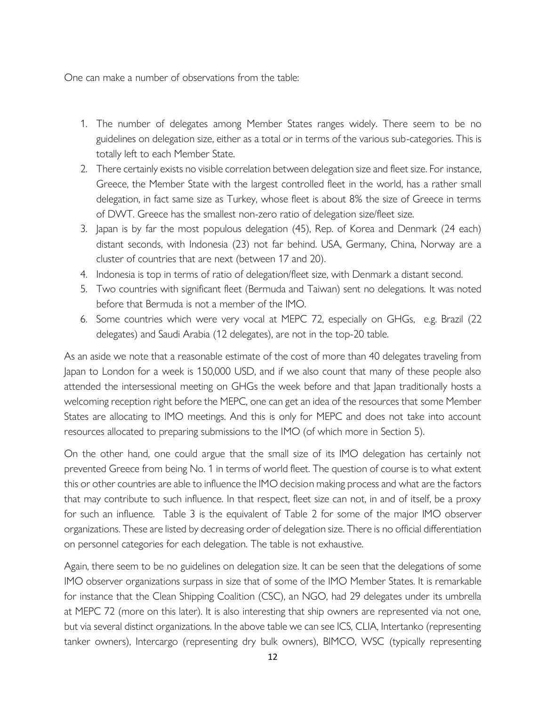One can make a number of observations from the table:

- 1. The number of delegates among Member States ranges widely. There seem to be no guidelines on delegation size, either as a total or in terms of the various sub-categories. This is totally left to each Member State.
- 2. There certainly exists no visible correlation between delegation size and fleet size. For instance, Greece, the Member State with the largest controlled fleet in the world, has a rather small delegation, in fact same size as Turkey, whose fleet is about 8% the size of Greece in terms of DWT. Greece has the smallest non-zero ratio of delegation size/fleet size.
- 3. Japan is by far the most populous delegation (45), Rep. of Korea and Denmark (24 each) distant seconds, with Indonesia (23) not far behind. USA, Germany, China, Norway are a cluster of countries that are next (between 17 and 20).
- 4. Indonesia is top in terms of ratio of delegation/fleet size, with Denmark a distant second.
- 5. Two countries with significant fleet (Bermuda and Taiwan) sent no delegations. It was noted before that Bermuda is not a member of the IMO.
- 6. Some countries which were very vocal at MEPC 72, especially on GHGs, e.g. Brazil (22 delegates) and Saudi Arabia (12 delegates), are not in the top-20 table.

As an aside we note that a reasonable estimate of the cost of more than 40 delegates traveling from Japan to London for a week is 150,000 USD, and if we also count that many of these people also attended the intersessional meeting on GHGs the week before and that Japan traditionally hosts a welcoming reception right before the MEPC, one can get an idea of the resources that some Member States are allocating to IMO meetings. And this is only for MEPC and does not take into account resources allocated to preparing submissions to the IMO (of which more in Section 5).

On the other hand, one could argue that the small size of its IMO delegation has certainly not prevented Greece from being No. 1 in terms of world fleet. The question of course is to what extent this or other countries are able to influence the IMO decision making process and what are the factors that may contribute to such influence. In that respect, fleet size can not, in and of itself, be a proxy for such an influence. Table 3 is the equivalent of Table 2 for some of the major IMO observer organizations. These are listed by decreasing order of delegation size. There is no official differentiation on personnel categories for each delegation. The table is not exhaustive.

Again, there seem to be no guidelines on delegation size. It can be seen that the delegations of some IMO observer organizations surpass in size that of some of the IMO Member States. It is remarkable for instance that the Clean Shipping Coalition (CSC), an NGO, had 29 delegates under its umbrella at MEPC 72 (more on this later). It is also interesting that ship owners are represented via not one, but via several distinct organizations. In the above table we can see ICS, CLIA, Intertanko (representing tanker owners), Intercargo (representing dry bulk owners), BIMCO, WSC (typically representing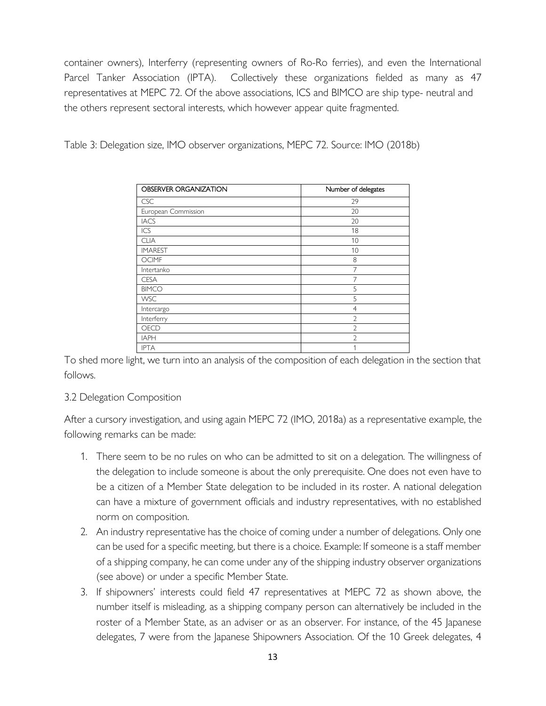container owners), Interferry (represe[nting owners of Ro-Ro ferries\), and even t](https://doi.org/10.1057/s41278-020-00149-4)he International Parcel Tanker Association (IPTA). Collectively these organizations fielded as many as 47 representatives at MEPC 72. Of the above associations, ICS and BIMCO are ship type- neutral and the others represent sectoral interests, which however appear quite fragmented.

Table 3: Delegation size, IMO observer organizations, MEPC 72. Source: IMO (2018b)

| <b>OBSERVER ORGANIZATION</b> | Number of delegates |
|------------------------------|---------------------|
| <b>CSC</b>                   | 29                  |
| European Commission          | 20                  |
| <b>IACS</b>                  | 20                  |
| ICS                          | 18                  |
| <b>CLIA</b>                  | 10                  |
| <b>IMAREST</b>               | 10                  |
| <b>OCIMF</b>                 | 8                   |
| Intertanko                   | 7                   |
| <b>CESA</b>                  | 7                   |
| <b>BIMCO</b>                 | 5                   |
| <b>WSC</b>                   | 5                   |
| Intercargo                   | $\overline{4}$      |
| Interferry                   | $\overline{2}$      |
| <b>OECD</b>                  | $\mathfrak{D}$      |
| <b>IAPH</b>                  | C                   |
| <b>IPTA</b>                  | 1                   |

To shed more light, we turn into an analysis of the composition of each delegation in the section that follows.

# 3.2 Delegation Composition

After a cursory investigation, and using again MEPC 72 (IMO, 2018a) as a representative example, the following remarks can be made:

- 1. There seem to be no rules on who can be admitted to sit on a delegation. The willingness of the delegation to include someone is about the only prerequisite. One does not even have to be a citizen of a Member State delegation to be included in its roster. A national delegation can have a mixture of government officials and industry representatives, with no established norm on composition.
- 2. An industry representative has the choice of coming under a number of delegations. Only one can be used for a specific meeting, but there is a choice. Example: If someone is a staff member of a shipping company, he can come under any of the shipping industry observer organizations (see above) or under a specific Member State.
- 3. If shipowners' interests could field 47 representatives at MEPC 72 as shown above, the number itself is misleading, as a shipping company person can alternatively be included in the roster of a Member State, as an adviser or as an observer. For instance, of the 45 Japanese delegates, 7 were from the Japanese Shipowners Association. Of the 10 Greek delegates, 4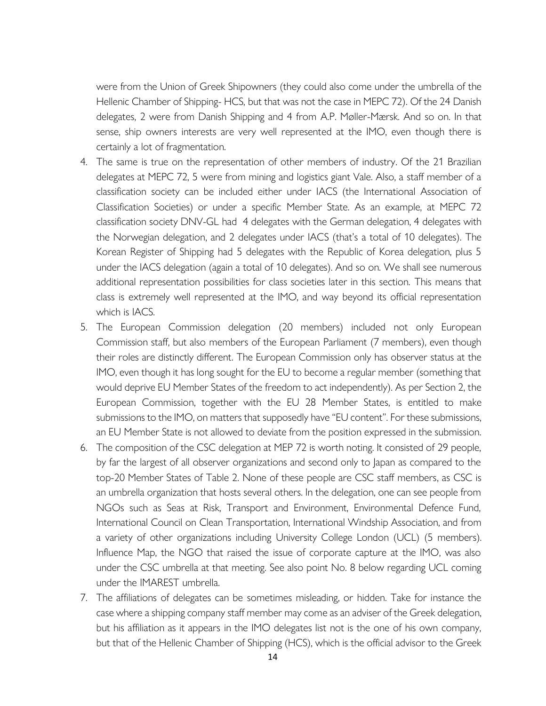were from the Union of Greek Shipowners (they could also come under the umbrella of the Hellenic Chamber of Shipping- HCS, but that was not the case in MEPC 72). Of the 24 Danish delegates, 2 were from Danish Shipping and 4 from A.P. Møller-Mærsk. And so on. In that sense, ship owners interests are very well represented at the IMO, even though there is certainly a lot of fragmentation.

- 4. The same is true on the representation of other members of industry. Of the 21 Brazilian delegates at MEPC 72, 5 were from mining and logistics giant Vale. Also, a staff member of a classification society can be included either under IACS (the International Association of Classification Societies) or under a specific Member State. As an example, at MEPC 72 classification society DNV-GL had 4 delegates with the German delegation, 4 delegates with the Norwegian delegation, and 2 delegates under IACS (that's a total of 10 delegates). The Korean Register of Shipping had 5 delegates with the Republic of Korea delegation, plus 5 under the IACS delegation (again a total of 10 delegates). And so on. We shall see numerous additional representation possibilities for class societies later in this section. This means that class is extremely well represented at the IMO, and way beyond its official representation which is IACS.
- 5. The European Commission delegation (20 members) included not only European Commission staff, but also members of the European Parliament (7 members), even though their roles are distinctly different. The European Commission only has observer status at the IMO, even though it has long sought for the EU to become a regular member (something that would deprive EU Member States of the freedom to act independently). As per Section 2, the European Commission, together with the EU 28 Member States, is entitled to make submissions to the IMO, on matters that supposedly have "EU content". For these submissions, an EU Member State is not allowed to deviate from the position expressed in the submission.
- 6. The composition of the CSC delegation at MEP 72 is worth noting. It consisted of 29 people, by far the largest of all observer organizations and second only to Japan as compared to the top-20 Member States of Table 2. None of these people are CSC staff members, as CSC is an umbrella organization that hosts several others. In the delegation, one can see people from NGOs such as Seas at Risk, Transport and Environment, Environmental Defence Fund, International Council on Clean Transportation, International Windship Association, and from a variety of other organizations including University College London (UCL) (5 members). Influence Map, the NGO that raised the issue of corporate capture at the IMO, was also under the CSC umbrella at that meeting. See also point No. 8 below regarding UCL coming under the IMAREST umbrella.
- 7. The affiliations of delegates can be sometimes misleading, or hidden. Take for instance the case where a shipping company staff member may come as an adviser of the Greek delegation, but his affiliation as it appears in the IMO delegates list not is the one of his own company, but that of the Hellenic Chamber of Shipping (HCS), which is the official advisor to the Greek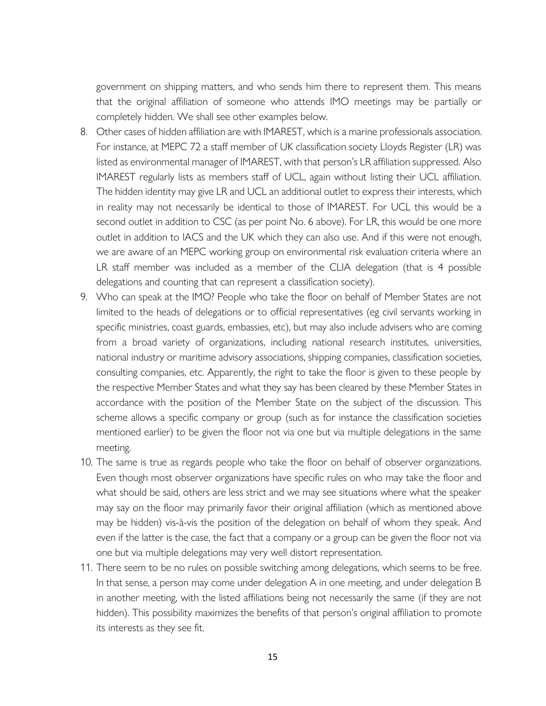government on shipping matters, and who sends him there to represent them. This means that the original affiliation of someone who attends IMO meetings may be partially or completely hidden. We shall see other examples below.

- 8. Οther cases of hidden affiliation are with IMAREST, which is a marine professionals association. For instance, at MEPC 72 a staff member of UK classification society Lloyds Register (LR) was listed as environmental manager of IMAREST, with that person's LR affiliation suppressed. Also IMAREST regularly lists as members staff of UCL, again without listing their UCL affiliation. The hidden identity may give LR and UCL an additional outlet to express their interests, which in reality may not necessarily be identical to those of IMAREST. For UCL this would be a second outlet in addition to CSC (as per point No. 6 above). For LR, this would be one more outlet in addition to IACS and the UK which they can also use. And if this were not enough, we are aware of an MEPC working group on environmental risk evaluation criteria where an LR staff member was included as a member of the CLIA delegation (that is 4 possible delegations and counting that can represent a classification society).
- 9. Who can speak at the IMO? People who take the floor on behalf of Member States are not limited to the heads of delegations or to official representatives (eg civil servants working in specific ministries, coast guards, embassies, etc), but may also include advisers who are coming from a broad variety of organizations, including national research institutes, universities, national industry or maritime advisory associations, shipping companies, classification societies, consulting companies, etc. Apparently, the right to take the floor is given to these people by the respective Member States and what they say has been cleared by these Member States in accordance with the position of the Member State on the subject of the discussion. This scheme allows a specific company or group (such as for instance the classification societies mentioned earlier) to be given the floor not via one but via multiple delegations in the same meeting.
- 10. The same is true as regards people who take the floor on behalf of observer organizations. Even though most observer organizations have specific rules on who may take the floor and what should be said, others are less strict and we may see situations where what the speaker may say on the floor may primarily favor their original affiliation (which as mentioned above may be hidden) vis-à-vis the position of the delegation on behalf of whom they speak. And even if the latter is the case, the fact that a company or a group can be given the floor not via one but via multiple delegations may very well distort representation.
- 11. There seem to be no rules on possible switching among delegations, which seems to be free. In that sense, a person may come under delegation A in one meeting, and under delegation B in another meeting, with the listed affiliations being not necessarily the same (if they are not hidden). This possibility maximizes the benefits of that person's original affiliation to promote its interests as they see fit.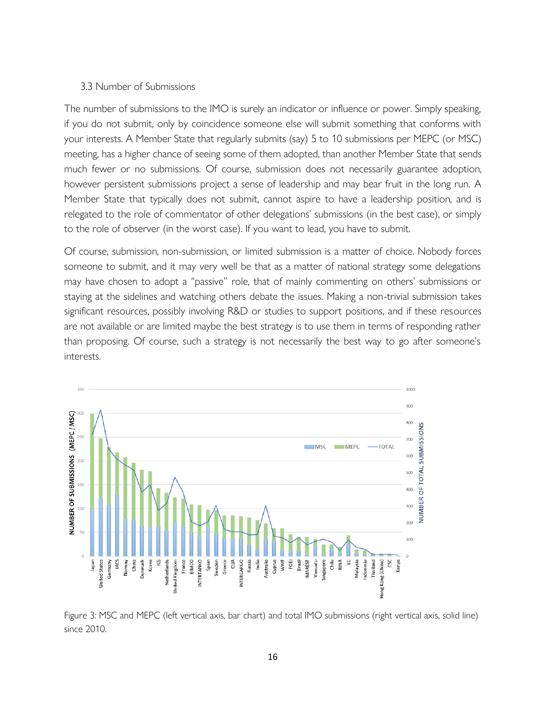#### 3.3 Number of Submissions

The number of submissions to the IMO is surely an indicator or influence or power. Simply speaking, if you do not submit, only by coincidence someone else will submit something that conforms with your interests. A Member State that regularly submits (say) 5 to 10 submissions per MEPC (or MSC) meeting, has a higher chance of seeing some of them adopted, than another Member State that sends much fewer or no submissions. Of course, submission does not necessarily guarantee adoption, however persistent submissions project a sense of leadership and may bear fruit in the long run. A Member State that typically does not submit, cannot aspire to have a leadership position, and is relegated to the role of commentator of other delegations' submissions (in the best case), or simply to the role of observer (in the worst case). If you want to lead, you have to submit.

Of course, submission, non-submission, or limited submission is a matter of choice. Nobody forces someone to submit, and it may very well be that as a matter of national strategy some delegations may have chosen to adopt a "passive" role, that of mainly commenting on others' submissions or staying at the sidelines and watching others debate the issues. Making a non-trivial submission takes significant resources, possibly involving R&D or studies to support positions, and if these resources are not available or are limited maybe the best strategy is to use them in terms of responding rather than proposing. Of course, such a strategy is not necessarily the best way to go after someone's interests.



Figure 3: MSC and MEPC (left vertical axis, bar chart) and total IMO submissions (right vertical axis, solid line) since 2010.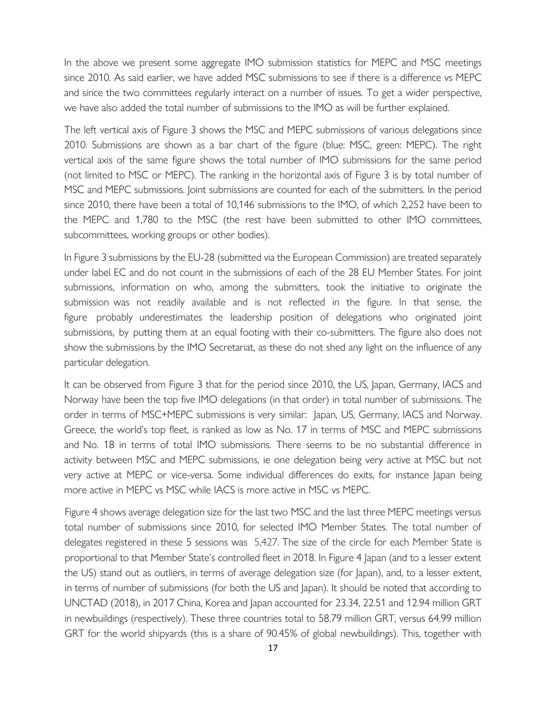In the above we present some aggreg[ate IMO submission statistics for MEPC and](https://doi.org/10.1057/s41278-020-00149-4) MSC meetings since 2010. As said earlier, we have added MSC submissions to see if there is a difference vs MEPC and since the two committees regularly interact on a number of issues. To get a wider perspective, we have also added the total number of submissions to the IMO as will be further explained.

The left vertical axis of Figure 3 shows the MSC and MEPC submissions of various delegations since 2010. Submissions are shown as a bar chart of the figure (blue: MSC, green: MEPC). The right vertical axis of the same figure shows the total number of IMO submissions for the same period (not limited to MSC or MEPC). The ranking in the horizontal axis of Figure 3 is by total number of MSC and MEPC submissions. Joint submissions are counted for each of the submitters. In the period since 2010, there have been a total of 10,146 submissions to the IMO, of which 2,252 have been to the MEPC and 1,780 to the MSC (the rest have been submitted to other IMO committees, subcommittees, working groups or other bodies).

In Figure 3 submissions by the EU-28 (submitted via the European Commission) are treated separately under label EC and do not count in the submissions of each of the 28 EU Member States. For joint submissions, information on who, among the submitters, took the initiative to originate the submission was not readily available and is not reflected in the figure. In that sense, the figure probably underestimates the leadership position of delegations who originated joint submissions, by putting them at an equal footing with their co-submitters. The figure also does not show the submissions by the IMO Secretariat, as these do not shed any light on the influence of any particular delegation.

It can be observed from Figure 3 that for the period since 2010, the US, Japan, Germany, IACS and Norway have been the top five IMO delegations (in that order) in total number of submissions. The order in terms of MSC+MEPC submissions is very similar: Japan, US, Germany, IACS and Norway. Greece, the world's top fleet, is ranked as low as No. 17 in terms of MSC and MEPC submissions and No. 18 in terms of total IMO submissions. There seems to be no substantial difference in activity between MSC and MEPC submissions, ie one delegation being very active at MSC but not very active at MEPC or vice-versa. Some individual differences do exits, for instance Japan being more active in MEPC vs MSC while IACS is more active in MSC vs MEPC.

Figure 4 shows average delegation size for the last two MSC and the last three MEPC meetings versus total number of submissions since 2010, for selected IMO Member States. The total number of delegates registered in these 5 sessions was 5,427. The size of the circle for each Member State is proportional to that Member State's controlled fleet in 2018. In Figure 4 Japan (and to a lesser extent the US) stand out as outliers, in terms of average delegation size (for Japan), and, to a lesser extent, in terms of number of submissions (for both the US and Japan). It should be noted that according to UNCTAD (2018), in 2017 China, Korea and Japan accounted for 23.34, 22.51 and 12.94 million GRT in newbuildings (respectively). These three countries total to 58.79 million GRT, versus 64.99 million GRT for the world shipyards (this is a share of 90.45% of global newbuildings). This, together with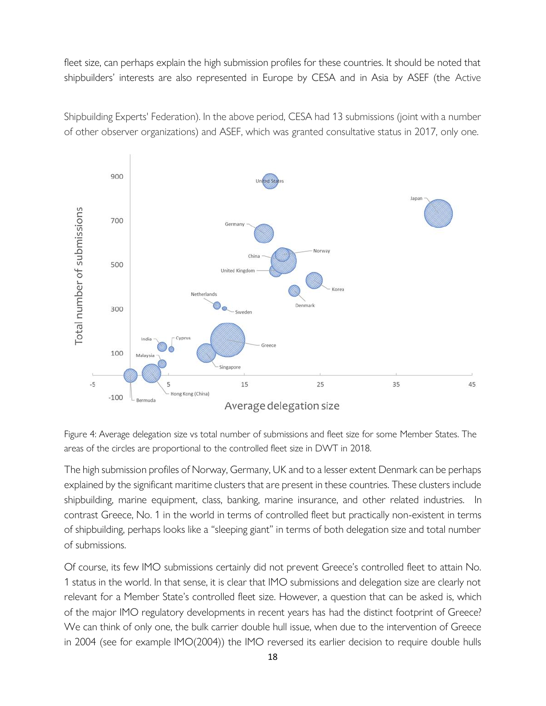fleet size, can perhaps explain the high s[ubmission profiles for these countries. It shoul](https://doi.org/10.1057/s41278-020-00149-4)d be noted that shipbuilders' interests are also represented in Europe by CESA and in Asia by ASEF (the Active

Shipbuilding Experts' Federation). In the above period, CESA had 13 submissions (joint with a number of other observer organizations) and ASEF, which was granted consultative status in 2017, only one.



Figure 4: Average delegation size vs total number of submissions and fleet size for some Member States. The areas of the circles are proportional to the controlled fleet size in DWT in 2018.

The high submission profiles of Norway, Germany, UK and to a lesser extent Denmark can be perhaps explained by the significant maritime clusters that are present in these countries. These clusters include shipbuilding, marine equipment, class, banking, marine insurance, and other related industries. In contrast Greece, No. 1 in the world in terms of controlled fleet but practically non-existent in terms of shipbuilding, perhaps looks like a "sleeping giant" in terms of both delegation size and total number of submissions.

Of course, its few IMO submissions certainly did not prevent Greece's controlled fleet to attain No. 1 status in the world. In that sense, it is clear that IMO submissions and delegation size are clearly not relevant for a Member State's controlled fleet size. However, a question that can be asked is, which of the major IMO regulatory developments in recent years has had the distinct footprint of Greece? We can think of only one, the bulk carrier double hull issue, when due to the intervention of Greece in 2004 (see for example IMO(2004)) the IMO reversed its earlier decision to require double hulls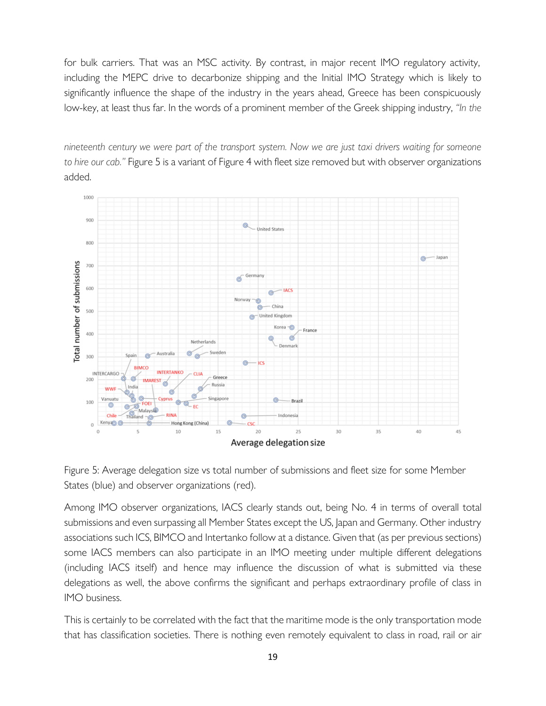for bulk carriers. That was an MSC a[ctivity. By contrast, in major recent IMO reg](https://doi.org/10.1057/s41278-020-00149-4)ulatory activity, including the MEPC drive to decarbonize shipping and the Initial IMO Strategy which is likely to significantly influence the shape of the industry in the years ahead, Greece has been conspicuously low-key, at least thus far. In the words of a prominent member of the Greek shipping industry, *"In the* 

*nineteenth century we were part of the transport system. Now we are just taxi drivers waiting for someone to hire our cab."* Figure 5 is a variant of Figure 4 with fleet size removed but with observer organizations added.





Among IMO observer organizations, IACS clearly stands out, being No. 4 in terms of overall total submissions and even surpassing all Member States except the US, Japan and Germany. Other industry associations such ICS, BIMCO and Intertanko follow at a distance. Given that (as per previous sections) some IACS members can also participate in an IMO meeting under multiple different delegations (including IACS itself) and hence may influence the discussion of what is submitted via these delegations as well, the above confirms the significant and perhaps extraordinary profile of class in IMO business.

This is certainly to be correlated with the fact that the maritime mode is the only transportation mode that has classification societies. There is nothing even remotely equivalent to class in road, rail or air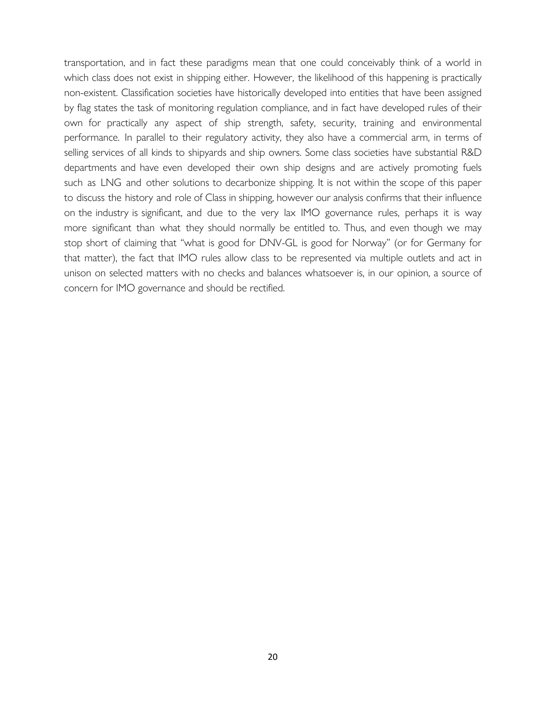transportation, and in fact these para[digms mean that one could conceivably thin](https://doi.org/10.1057/s41278-020-00149-4)k of a world in which class does not exist in shipping either. However, the likelihood of this happening is practically non-existent. Classification societies have historically developed into entities that have been assigned by flag states the task of monitoring regulation compliance, and in fact have developed rules of their own for practically any aspect of ship strength, safety, security, training and environmental performance. In parallel to their regulatory activity, they also have a commercial arm, in terms of selling services of all kinds to shipyards and ship owners. Some class societies have substantial R&D departments and have even developed their own ship designs and are actively promoting fuels such as LNG and other solutions to decarbonize shipping. It is not within the scope of this paper to discuss the history and role of Class in shipping, however our analysis confirms that their influence on the industry is significant, and due to the very lax IMO governance rules, perhaps it is way more significant than what they should normally be entitled to. Thus, and even though we may stop short of claiming that "what is good for DNV-GL is good for Norway" (or for Germany for that matter), the fact that IMO rules allow class to be represented via multiple outlets and act in unison on selected matters with no checks and balances whatsoever is, in our opinion, a source of concern for IMO governance and should be rectified.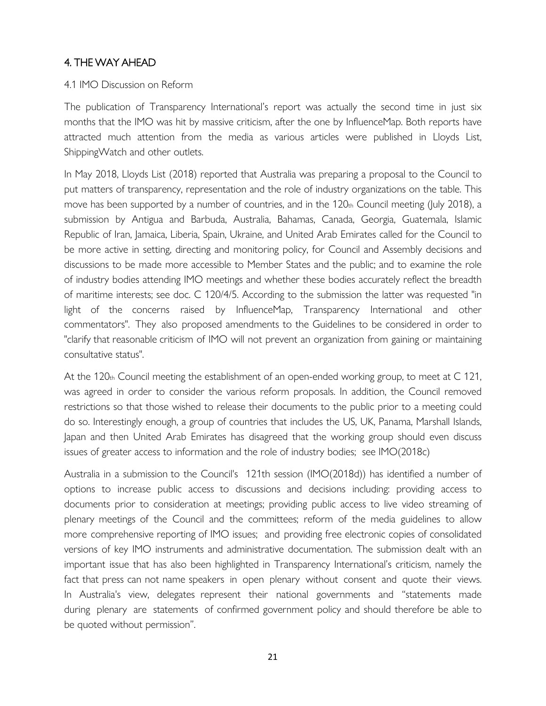# 4. THE WAY AHEAD

## 4.1 IMO Discussion on Reform

The publication of Transparency International's report was actually the second time in just six months that the IMO was hit by massive criticism, after the one by InfluenceMap. Both reports have attracted much attention from the media as various articles were published in Lloyds List, ShippingWatch and other outlets.

In May 2018, Lloyds List (2018) reported that Australia was preparing a proposal to the Council to put matters of transparency, representation and the role of industry organizations on the table. This move has been supported by a number of countries, and in the  $120<sub>th</sub>$  Council meeting (July 2018), a submission by Antigua and Barbuda, Australia, Bahamas, Canada, Georgia, Guatemala, Islamic Republic of Iran, Jamaica, Liberia, Spain, Ukraine, and United Arab Emirates called for the Council to be more active in setting, directing and monitoring policy, for Council and Assembly decisions and discussions to be made more accessible to Member States and the public; and to examine the role of industry bodies attending IMO meetings and whether these bodies accurately reflect the breadth of maritime interests; see doc. C 120/4/5. According to the submission the latter was requested "in light of the concerns raised by InfluenceMap, Transparency International and other commentators". They also proposed amendments to the Guidelines to be considered in order to "clarify that reasonable criticism of IMO will not prevent an organization from gaining or maintaining consultative status".

At the 120th Council meeting the establishment of an open-ended working group, to meet at C 121, was agreed in order to consider the various reform proposals. In addition, the Council removed restrictions so that those wished to release their documents to the public prior to a meeting could do so. Interestingly enough, a group of countries that includes the US, UK, Panama, Marshall Islands, Japan and then United Arab Emirates has disagreed that the working group should even discuss issues of greater access to information and the role of industry bodies; see IMO(2018c)

Australia in a submission to the Council's 121th session (IMO(2018d)) has identified a number of options to increase public access to discussions and decisions including: providing access to documents prior to consideration at meetings; providing public access to live video streaming of plenary meetings of the Council and the committees; reform of the media guidelines to allow more comprehensive reporting of IMO issues; and providing free electronic copies of consolidated versions of key IMO instruments and administrative documentation. The submission dealt with an important issue that has also been highlighted in Transparency International's criticism, namely the fact that press can not name speakers in open plenary without consent and quote their views. In Australia's view, delegates represent their national governments and "statements made during plenary are statements of confirmed government policy and should therefore be able to be quoted without permission".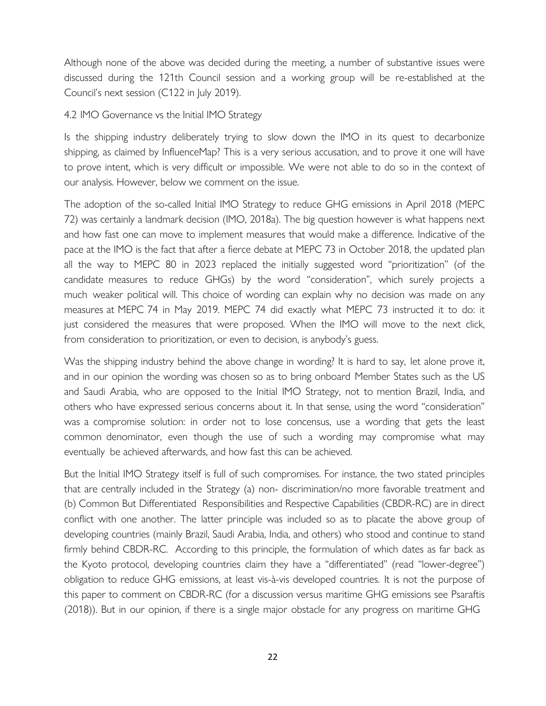Although none of the above was deci[ded during the meeting, a number of substan](https://doi.org/10.1057/s41278-020-00149-4)tive issues were discussed during the 121th Council session and a working group will be re-established at the Council's next session (C122 in July 2019).

#### 4.2 IMO Governance vs the Initial IMO Strategy

Is the shipping industry deliberately trying to slow down the IMO in its quest to decarbonize shipping, as claimed by InfluenceMap? This is a very serious accusation, and to prove it one will have to prove intent, which is very difficult or impossible. We were not able to do so in the context of our analysis. However, below we comment on the issue.

The adoption of the so-called Initial IMO Strategy to reduce GHG emissions in April 2018 (MEPC 72) was certainly a landmark decision (IMO, 2018a). The big question however is what happens next and how fast one can move to implement measures that would make a difference. Indicative of the pace at the IMO is the fact that after a fierce debate at MEPC 73 in October 2018, the updated plan all the way to MEPC 80 in 2023 replaced the initially suggested word "prioritization" (of the candidate measures to reduce GHGs) by the word "consideration", which surely projects a much weaker political will. This choice of wording can explain why no decision was made on any measures at MEPC 74 in May 2019. MEPC 74 did exactly what MEPC 73 instructed it to do: it just considered the measures that were proposed. When the IMO will move to the next click, from consideration to prioritization, or even to decision, is anybody's guess.

Was the shipping industry behind the above change in wording? It is hard to say, let alone prove it, and in our opinion the wording was chosen so as to bring onboard Member States such as the US and Saudi Arabia, who are opposed to the Initial IMO Strategy, not to mention Brazil, India, and others who have expressed serious concerns about it. In that sense, using the word "consideration" was a compromise solution: in order not to lose concensus, use a wording that gets the least common denominator, even though the use of such a wording may compromise what may eventually be achieved afterwards, and how fast this can be achieved.

But the Initial IMO Strategy itself is full of such compromises. For instance, the two stated principles that are centrally included in the Strategy (a) non- discrimination/no more favorable treatment and (b) Common But Differentiated Responsibilities and Respective Capabilities (CBDR-RC) are in direct conflict with one another. The latter principle was included so as to placate the above group of developing countries (mainly Brazil, Saudi Arabia, India, and others) who stood and continue to stand firmly behind CBDR-RC. According to this principle, the formulation of which dates as far back as the Kyoto protocol, developing countries claim they have a "differentiated" (read "lower-degree") obligation to reduce GHG emissions, at least vis-à-vis developed countries. It is not the purpose of this paper to comment on CBDR-RC (for a discussion versus maritime GHG emissions see Psaraftis (2018)). But in our opinion, if there is a single major obstacle for any progress on maritime GHG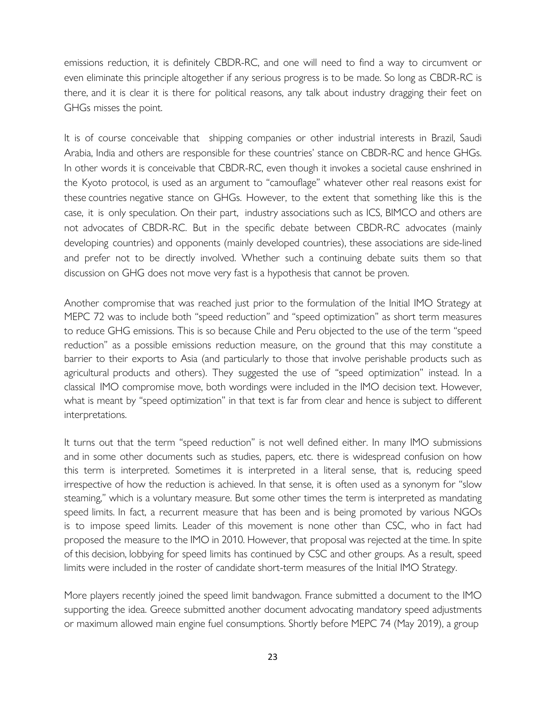emissions reduction, it is definitely CB[DR-RC, and one will need to find a way to](https://doi.org/10.1057/s41278-020-00149-4) circumvent or even eliminate this principle altogether if any serious progress is to be made. So long as CBDR-RC is there, and it is clear it is there for political reasons, any talk about industry dragging their feet on GHGs misses the point.

It is of course conceivable that shipping companies or other industrial interests in Brazil, Saudi Arabia, India and others are responsible for these countries' stance on CBDR-RC and hence GHGs. In other words it is conceivable that CBDR-RC, even though it invokes a societal cause enshrined in the Kyoto protocol, is used as an argument to "camouflage" whatever other real reasons exist for these countries negative stance on GHGs. However, to the extent that something like this is the case, it is only speculation. On their part, industry associations such as ICS, BIMCO and others are not advocates of CBDR-RC. But in the specific debate between CBDR-RC advocates (mainly developing countries) and opponents (mainly developed countries), these associations are side-lined and prefer not to be directly involved. Whether such a continuing debate suits them so that discussion on GHG does not move very fast is a hypothesis that cannot be proven.

Another compromise that was reached just prior to the formulation of the Initial IMO Strategy at MEPC 72 was to include both "speed reduction" and "speed optimization" as short term measures to reduce GHG emissions. This is so because Chile and Peru objected to the use of the term "speed reduction" as a possible emissions reduction measure, on the ground that this may constitute a barrier to their exports to Asia (and particularly to those that involve perishable products such as agricultural products and others). They suggested the use of "speed optimization" instead. In a classical IMO compromise move, both wordings were included in the IMO decision text. However, what is meant by "speed optimization" in that text is far from clear and hence is subject to different interpretations.

It turns out that the term "speed reduction" is not well defined either. In many IMO submissions and in some other documents such as studies, papers, etc. there is widespread confusion on how this term is interpreted. Sometimes it is interpreted in a literal sense, that is, reducing speed irrespective of how the reduction is achieved. In that sense, it is often used as a synonym for "slow steaming," which is a voluntary measure. But some other times the term is interpreted as mandating speed limits. In fact, a recurrent measure that has been and is being promoted by various NGOs is to impose speed limits. Leader of this movement is none other than CSC, who in fact had proposed the measure to the IMO in 2010. However, that proposal was rejected at the time. In spite of this decision, lobbying for speed limits has continued by CSC and other groups. As a result, speed limits were included in the roster of candidate short-term measures of the Initial IMO Strategy.

More players recently joined the speed limit bandwagon. France submitted a document to the IMO supporting the idea. Greece submitted another document advocating mandatory speed adjustments or maximum allowed main engine fuel consumptions. Shortly before MEPC 74 (May 2019), a group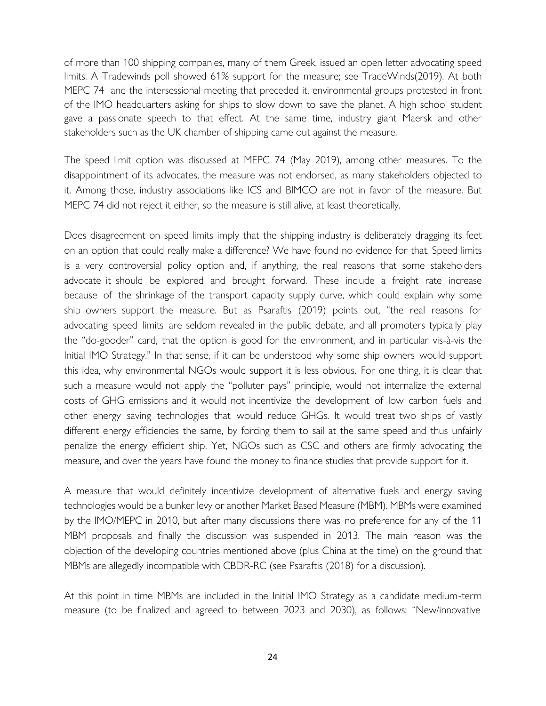of more than 100 shipping companies, [many of them Greek, issued an open letter a](https://doi.org/10.1057/s41278-020-00149-4)dvocating speed limits. A Tradewinds poll showed 61% support for the measure; see TradeWinds(2019). At both MEPC 74 and the intersessional meeting that preceded it, environmental groups protested in front of the IMO headquarters asking for ships to slow down to save the planet. A high school student gave a passionate speech to that effect. At the same time, industry giant Maersk and other stakeholders such as the UK chamber of shipping came out against the measure.

The speed limit option was discussed at MEPC 74 (May 2019), among other measures. To the disappointment of its advocates, the measure was not endorsed, as many stakeholders objected to it. Among those, industry associations like ICS and BIMCO are not in favor of the measure. But MEPC 74 did not reject it either, so the measure is still alive, at least theoretically.

Does disagreement on speed limits imply that the shipping industry is deliberately dragging its feet on an option that could really make a difference? We have found no evidence for that. Speed limits is a very controversial policy option and, if anything, the real reasons that some stakeholders advocate it should be explored and brought forward. These include a freight rate increase because of the shrinkage of the transport capacity supply curve, which could explain why some ship owners support the measure. But as Psaraftis (2019) points out, "the real reasons for advocating speed limits are seldom revealed in the public debate, and all promoters typically play the "do-gooder" card, that the option is good for the environment, and in particular vis-à-vis the Initial IMO Strategy." In that sense, if it can be understood why some ship owners would support this idea, why environmental NGOs would support it is less obvious. For one thing, it is clear that such a measure would not apply the "polluter pays" principle, would not internalize the external costs of GHG emissions and it would not incentivize the development of low carbon fuels and other energy saving technologies that would reduce GHGs. It would treat two ships of vastly different energy efficiencies the same, by forcing them to sail at the same speed and thus unfairly penalize the energy efficient ship. Yet, NGOs such as CSC and others are firmly advocating the measure, and over the years have found the money to finance studies that provide support for it.

A measure that would definitely incentivize development of alternative fuels and energy saving technologies would be a bunker levy or another Market Based Measure (MBM). MBMs were examined by the IMO/MEPC in 2010, but after many discussions there was no preference for any of the 11 MBM proposals and finally the discussion was suspended in 2013. The main reason was the objection of the developing countries mentioned above (plus China at the time) on the ground that MBMs are allegedly incompatible with CBDR-RC (see Psaraftis (2018) for a discussion).

At this point in time MBMs are included in the Initial IMO Strategy as a candidate medium-term measure (to be finalized and agreed to between 2023 and 2030), as follows: "New/innovative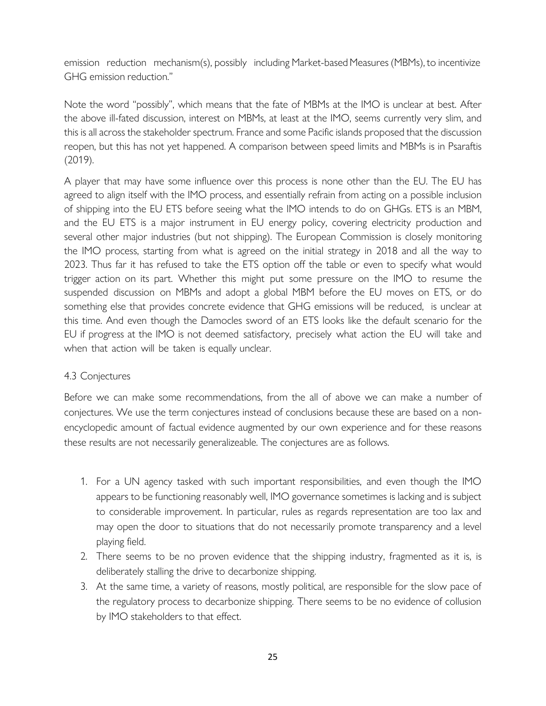emission reduction mechanism(s), possibly including Market-based Measures (MBMs), to incentivize GHG emission reduction."

Note the word "possibly", which means that the fate of MBMs at the IMO is unclear at best. After the above ill-fated discussion, interest on MBMs, at least at the IMO, seems currently very slim, and this is all across the stakeholder spectrum. France and some Pacific islands proposed that the discussion reopen, but this has not yet happened. A comparison between speed limits and MBMs is in Psaraftis (2019).

A player that may have some influence over this process is none other than the EU. The EU has agreed to align itself with the IMO process, and essentially refrain from acting on a possible inclusion of shipping into the EU ETS before seeing what the IMO intends to do on GHGs. ETS is an MBM, and the EU ETS is a major instrument in EU energy policy, covering electricity production and several other major industries (but not shipping). The European Commission is closely monitoring the IMO process, starting from what is agreed on the initial strategy in 2018 and all the way to 2023. Thus far it has refused to take the ETS option off the table or even to specify what would trigger action on its part. Whether this might put some pressure on the IMO to resume the suspended discussion on MBMs and adopt a global MBM before the EU moves on ETS, or do something else that provides concrete evidence that GHG emissions will be reduced, is unclear at this time. And even though the Damocles sword of an ETS looks like the default scenario for the EU if progress at the IMO is not deemed satisfactory, precisely what action the EU will take and when that action will be taken is equally unclear.

## 4.3 Conjectures

Before we can make some recommendations, from the all of above we can make a number of conjectures. We use the term conjectures instead of conclusions because these are based on a nonencyclopedic amount of factual evidence augmented by our own experience and for these reasons these results are not necessarily generalizeable. The conjectures are as follows.

- 1. For a UN agency tasked with such important responsibilities, and even though the IMO appears to be functioning reasonably well, IMO governance sometimes is lacking and is subject to considerable improvement. In particular, rules as regards representation are too lax and may open the door to situations that do not necessarily promote transparency and a level playing field.
- 2. There seems to be no proven evidence that the shipping industry, fragmented as it is, is deliberately stalling the drive to decarbonize shipping.
- 3. At the same time, a variety of reasons, mostly political, are responsible for the slow pace of the regulatory process to decarbonize shipping. There seems to be no evidence of collusion by IMO stakeholders to that effect.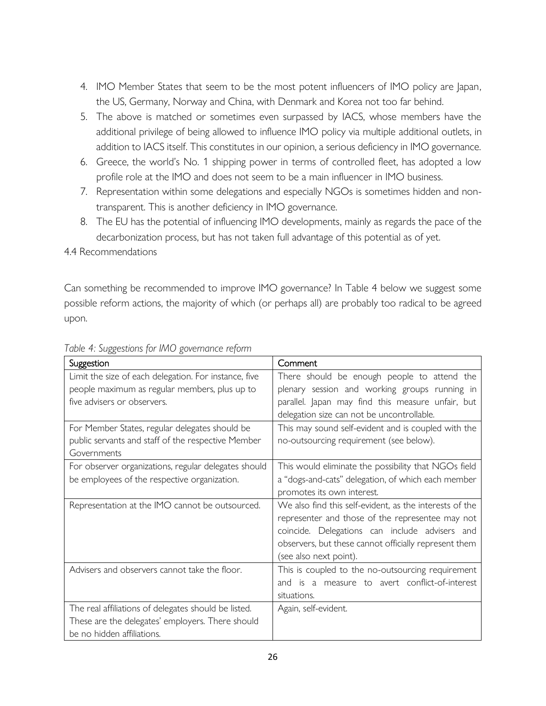- 4. IMO Member States that seem to be the most potent influencers of IMO policy are Japan, the US, Germany, Norway and China, with Denmark and Korea not too far behind.
- 5. The above is matched or sometimes even surpassed by IACS, whose members have the additional privilege of being allowed to influence IMO policy via multiple additional outlets, in addition to IACS itself. This constitutes in our opinion, a serious deficiency in IMO governance.
- 6. Greece, the world's No. 1 shipping power in terms of controlled fleet, has adopted a low profile role at the IMO and does not seem to be a main influencer in IMO business.
- 7. Representation within some delegations and especially NGOs is sometimes hidden and nontransparent. This is another deficiency in IMO governance.
- 8. The EU has the potential of influencing IMO developments, mainly as regards the pace of the decarbonization process, but has not taken full advantage of this potential as of yet.

4.4 Recommendations

Can something be recommended to improve IMO governance? In Table 4 below we suggest some possible reform actions, the majority of which (or perhaps all) are probably too radical to be agreed upon.

| Suggestion                                            | Comment                                                 |
|-------------------------------------------------------|---------------------------------------------------------|
| Limit the size of each delegation. For instance, five | There should be enough people to attend the             |
| people maximum as regular members, plus up to         | plenary session and working groups running in           |
| five advisers or observers.                           | parallel. Japan may find this measure unfair, but       |
|                                                       | delegation size can not be uncontrollable.              |
| For Member States, regular delegates should be        | This may sound self-evident and is coupled with the     |
| public servants and staff of the respective Member    | no-outsourcing requirement (see below).                 |
| Governments                                           |                                                         |
| For observer organizations, regular delegates should  | This would eliminate the possibility that NGOs field    |
| be employees of the respective organization.          | a "dogs-and-cats" delegation, of which each member      |
|                                                       | promotes its own interest.                              |
| Representation at the IMO cannot be outsourced.       | We also find this self-evident, as the interests of the |
|                                                       | representer and those of the representee may not        |
|                                                       | coincide. Delegations can include advisers and          |
|                                                       | observers, but these cannot officially represent them   |
|                                                       | (see also next point).                                  |
| Advisers and observers cannot take the floor.         | This is coupled to the no-outsourcing requirement       |
|                                                       | and is a measure to avert conflict-of-interest          |
|                                                       | situations.                                             |
| The real affiliations of delegates should be listed.  | Again, self-evident.                                    |
| These are the delegates' employers. There should      |                                                         |
| be no hidden affiliations.                            |                                                         |

*Table 4: Suggestions for IMO governance reform*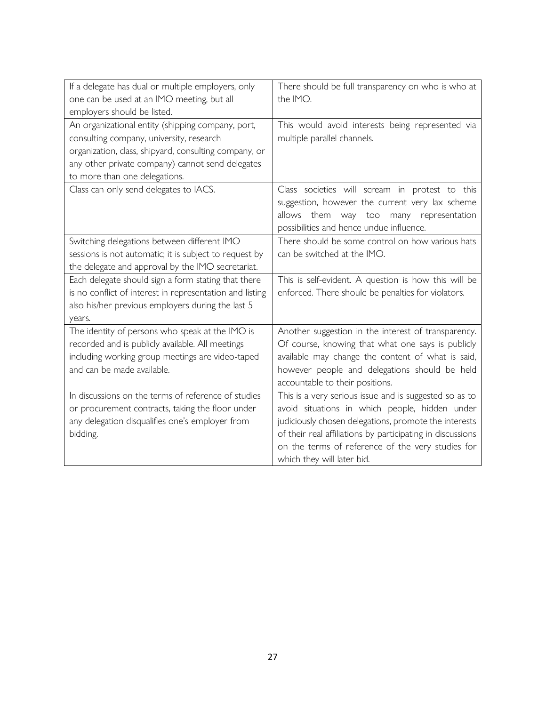| If a delegate has dual or multiple employers, only<br>one can be used at an IMO meeting, but all<br>employers should be listed.                                                                                                             | There should be full transparency on who is who at<br>the IMO.                                                                                                                                                                                                                                                     |
|---------------------------------------------------------------------------------------------------------------------------------------------------------------------------------------------------------------------------------------------|--------------------------------------------------------------------------------------------------------------------------------------------------------------------------------------------------------------------------------------------------------------------------------------------------------------------|
| An organizational entity (shipping company, port,<br>consulting company, university, research<br>organization, class, shipyard, consulting company, or<br>any other private company) cannot send delegates<br>to more than one delegations. | This would avoid interests being represented via<br>multiple parallel channels.                                                                                                                                                                                                                                    |
| Class can only send delegates to IACS.                                                                                                                                                                                                      | Class societies will scream in protest to this<br>suggestion, however the current very lax scheme<br>allows them<br>way<br>many representation<br>too<br>possibilities and hence undue influence.                                                                                                                  |
| Switching delegations between different IMO<br>sessions is not automatic; it is subject to request by<br>the delegate and approval by the IMO secretariat.                                                                                  | There should be some control on how various hats<br>can be switched at the IMO.                                                                                                                                                                                                                                    |
| Each delegate should sign a form stating that there<br>is no conflict of interest in representation and listing<br>also his/her previous employers during the last 5<br>years.                                                              | This is self-evident. A question is how this will be<br>enforced. There should be penalties for violators.                                                                                                                                                                                                         |
| The identity of persons who speak at the IMO is<br>recorded and is publicly available. All meetings<br>including working group meetings are video-taped<br>and can be made available.                                                       | Another suggestion in the interest of transparency.<br>Of course, knowing that what one says is publicly<br>available may change the content of what is said,<br>however people and delegations should be held<br>accountable to their positions.                                                                  |
| In discussions on the terms of reference of studies<br>or procurement contracts, taking the floor under<br>any delegation disqualifies one's employer from<br>bidding.                                                                      | This is a very serious issue and is suggested so as to<br>avoid situations in which people, hidden under<br>judiciously chosen delegations, promote the interests<br>of their real affiliations by participating in discussions<br>on the terms of reference of the very studies for<br>which they will later bid. |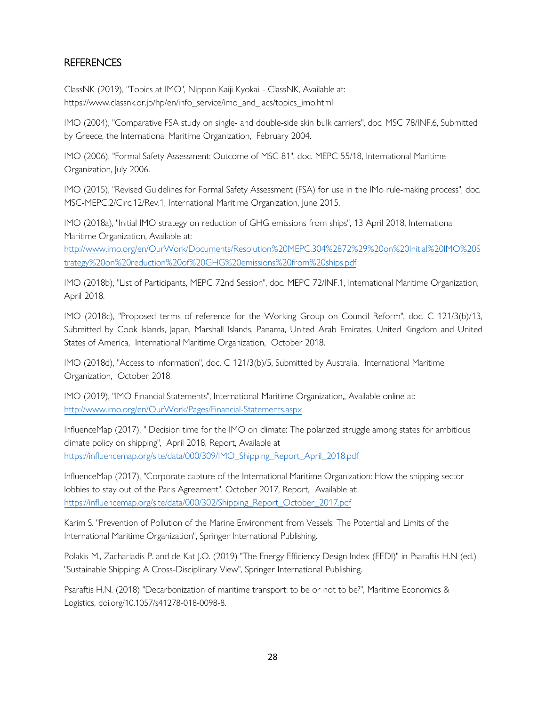# REFERENCES

ClassNK (2019), "Topics at IMO", Nippon Kaiji Kyokai - ClassNK, Available at: https://www.classnk.or.jp/hp/en/info\_service/imo\_and\_iacs/topics\_imo.html

IMO (2004), "Comparative FSA study on single- and double-side skin bulk carriers", doc. MSC 78/INF.6, Submitted by Greece, the International Maritime Organization, February 2004.

IMO (2006), "Formal Safety Assessment: Outcome of MSC 81", doc. MEPC 55/18, International Maritime Organization, July 2006.

IMO (2015), "Revised Guidelines for Formal Safety Assessment (FSA) for use in the IMo rule-making process", doc. MSC-MEPC.2/Circ.12/Rev.1, International Maritime Organization, June 2015.

IMO (2018a), "Initial IMO strategy on reduction of GHG emissions from ships", 13 April 2018, International Maritime Organization, Available at:

http://www.imo.org/en/OurWork/Documents/Resolution%20MEPC.304%2872%29%20on%20Initial%20IMO%20S trategy%20on%20reduction%20of%20GHG%20emissions%20from%20ships.pdf

[IMO \(2018b\), "List of Participants, MEPC 72nd Session", doc. MEPC 72/INF.1, International Maritime Organization,](http://www.imo.org/en/OurWork/Documents/Resolution%20MEPC.304%2872%29%20on%20Initial%20IMO%20Strategy%20on%20reduction%20of%20GHG%20emissions%20from%20ships.pdf)  April 2018.

IMO (2018c), "Proposed terms of reference for the Working Group on Council Reform", doc. C 121/3(b)/13, Submitted by Cook Islands, Japan, Marshall Islands, Panama, United Arab Emirates, United Kingdom and United States of America, International Maritime Organization, October 2018.

IMO (2018d), "Access to information", doc. C 121/3(b)/5, Submitted by Australia, International Maritime Organization, October 2018.

IMO (2019), "IMO Financial Statements", International Maritime Organization,, Available online at: http://www.imo.org/en/OurWork/Pages/Financial-Statements.aspx

InfluenceMap (2017), " Decision time for the IMO on climate: The polarized struggle among states for ambitious [climate policy on shipping", April 2018, Report, Available at](http://www.imo.org/en/OurWork/Pages/Financial-Statements.aspx)  https://influencemap.org/site/data/000/309/IMO\_Shipping\_Report\_April\_2018.pdf

InfluenceMap (2017), "Corporate capture of the International Maritime Organization: How the shipping sector [lobbies to stay out of the Paris Agreement", October 2017, Report, Available at:](https://influencemap.org/site/data/000/309/IMO_Shipping_Report_April_2018.pdf)  https://influencemap.org/site/data/000/302/Shipping\_Report\_October\_2017.pdf

[Karim S. "Prevention of Pollution of the Marine Environment from Vessels: The](https://influencemap.org/site/data/000/302/Shipping_Report_October_2017.pdf) Potential and Limits of the International Maritime Organization", Springer International Publishing.

Polakis M., Zachariadis P. and de Kat J.O. (2019) "The Energy Efficiency Design Index (EEDI)" in Psaraftis H.N (ed.) "Sustainable Shipping: A Cross-Disciplinary View", Springer International Publishing.

Psaraftis H.N. (2018) "Decarbonization of maritime transport: to be or not to be?", Maritime Economics & Logistics, doi.org/10.1057/s41278-018-0098-8.